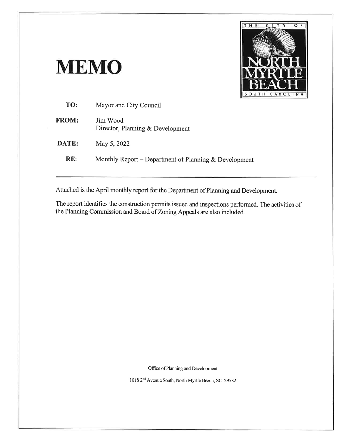# **MEMO**



| TO:          | Mayor and City Council                                |
|--------------|-------------------------------------------------------|
| <b>FROM:</b> | Jim Wood<br>Director, Planning & Development          |
| DATE:        | May 5, 2022                                           |
| RE:          | Monthly Report – Department of Planning & Development |
|              |                                                       |

Attached is the April monthly report for the Department of Planning and Development.

The report identifies the construction permits issued and inspections performed. The activities of the Planning Commission and Board of Zoning Appeals are also included.

Office of Planning and Development

1018 2<sup>nd</sup> Avenue South, North Myrtle Beach, SC 29582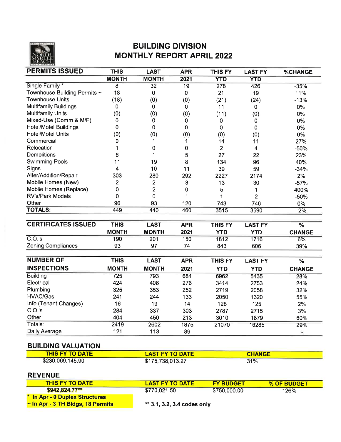

## **BUILDING DIVISION MONTHLY REPORT APRIL 2022**

| <b>PERMITS ISSUED</b>        | <b>THIS</b>             | <b>LAST</b>     | <b>APR</b>      | <b>THIS FY</b> | <b>LAST FY</b>          | <b>%CHANGE</b> |
|------------------------------|-------------------------|-----------------|-----------------|----------------|-------------------------|----------------|
|                              | <b>MONTH</b>            | <b>MONTH</b>    | 2021            | <b>YTD</b>     | <b>YTD</b>              |                |
| Single Family*               | $\overline{8}$          | $\overline{32}$ | $\overline{19}$ | 278            | 426                     | $-35%$         |
| Townhouse Building Permits ~ | 18                      | $\pmb{0}$       | $\pmb{0}$       | 21             | 19                      | 11%            |
| <b>Townhouse Units</b>       | (18)                    | (0)             | (0)             | (21)           | (24)                    | $-13%$         |
| <b>Multifamily Buildings</b> | 0                       | $\mathbf 0$     | $\mathbf 0$     | 11             | $\bf{0}$                | $0\%$          |
| <b>Multifamily Units</b>     | (0)                     | (0)             | (0)             | (11)           | (0)                     | $0\%$          |
| Mixed-Use (Comm & M/F)       | 0                       | $\pmb{0}$       | 0               | 0              | 0                       | 0%             |
| <b>Hotel/Motel Buildings</b> | 0                       | 0               | $\mathbf 0$     | $\mathbf 0$    | 0                       | 0%             |
| <b>Hotel/Motel Units</b>     | (0)                     | (0)             | (0)             | (0)            | (0)                     | $0\%$          |
| Commercial                   | 0                       | 1               | 1               | 14             | 11                      | 27%            |
| Relocation                   | 1                       | $\pmb{0}$       | $\pmb{0}$       | $\overline{2}$ | $\overline{\mathbf{4}}$ | $-50%$         |
| Demolitions                  | 6                       | 1               | 5               | 27             | 22                      | 23%            |
| <b>Swimming Pools</b>        | 11                      | 19              | 8               | 134            | 96                      | 40%            |
| Signs                        | $\overline{\mathbf{4}}$ | 10              | 11              | 39             | 59                      | $-34%$         |
| Alter/Addition/Repair        | 303                     | 280             | 292             | 2227           | 2174                    | 2%             |
| Mobile Homes (New)           | $\overline{c}$          | $\overline{2}$  | 3               | 13             | 30                      | $-57%$         |
| Mobile Homes (Replace)       | 0                       | $\overline{2}$  | $\mathbf 0$     | 5              | 1                       | 400%           |
| <b>RV's/Park Models</b>      | $\mathbf 0$             | $\mathbf 0$     | 1               | 1              | $\overline{2}$          | $-50%$         |
| Other                        | 96                      | 93              | 120             | 743            | 746                     | 0%             |
| <b>TOTALS:</b>               | 449                     | 440             | 460             | 3515           | 3590                    | $-2%$          |
|                              |                         |                 |                 |                |                         |                |
| <b>CERTIFICATES ISSUED</b>   | <b>THIS</b>             | <b>LAST</b>     | <b>APR</b>      | <b>THIS FY</b> | <b>LAST FY</b>          | %              |
|                              | <b>MONTH</b>            | <b>MONTH</b>    | 2021            | <b>YTD</b>     | <b>YTD</b>              | <b>CHANGE</b>  |
| C.O.'s                       | 190                     | 201             | 150             | 1812           | 1716                    | 6%             |
| <b>Zoning Compliances</b>    | 93                      | 97              | 74              | 843            | 606                     | 39%            |
|                              |                         |                 |                 |                |                         |                |
| <b>NUMBER OF</b>             | <b>THIS</b>             | <b>LAST</b>     | <b>APR</b>      | <b>THIS FY</b> | <b>LAST FY</b>          | $\%$           |
| <b>INSPECTIONS</b>           | <b>MONTH</b>            | <b>MONTH</b>    | 2021            | <b>YTD</b>     | <b>YTD</b>              | <b>CHANGE</b>  |
| <b>Building</b>              | $\overline{725}$        | 793             | 684             | 6962           | 5435                    | 28%            |
| Electrical                   | 424                     | 406             | 276             | 3414           | 2753                    | 24%            |
| Plumbing                     | 325                     | 353             | 252             | 2719           | 2058                    | 32%            |
| <b>HVAC/Gas</b>              | 241                     | 244             | 133             | 2050           | 1320                    | 55%            |
| Info (Tenant Changes)        | 16                      | 19              | 14              | 128            | 125                     | 2%             |
| C.O.'s                       | 284                     | 337             | 303             | 2787           | 2715                    | 3%             |
| Other                        | 404                     | 450             | 213             | 3010           | 1879                    | 60%            |
| Totals:                      | 2419                    | 2602            | 1875            | 21070          | 16285                   | 29%            |
| Daily Average                | 121                     | 113             | 89              |                |                         | $\blacksquare$ |

### **BUILDING VALUATION**

| <b>THIS FY TO DATE</b> | <b>LAST FY TO DATE</b> | <b>CHANGE</b> |  |
|------------------------|------------------------|---------------|--|
| \$230,069,145.90       | \$175,738,013.27       | 31%           |  |

#### **REVENUE**

| <b>THIS FY TO DATE</b>                 | <b>LAST FY TO DATE</b>      | <b>FY BUDGET</b> | % OF BUDGET |
|----------------------------------------|-----------------------------|------------------|-------------|
| \$942.824.77**                         | \$770.021.50                | \$750,000.00     | <b>126%</b> |
| * In Apr - 0 Duplex Structures         |                             |                  |             |
| $\sim$ In Apr - 3 TH Bidgs, 18 Permits | ** 3.1, 3.2, 3.4 codes only |                  |             |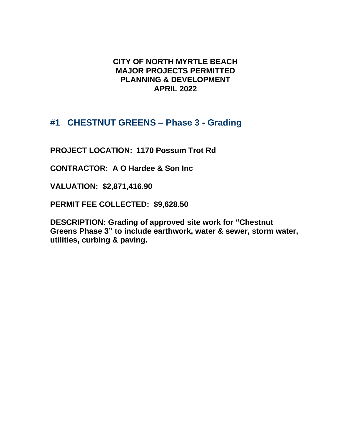## **CITY OF NORTH MYRTLE BEACH MAJOR PROJECTS PERMITTED PLANNING & DEVELOPMENT APRIL 2022**

## **#1 CHESTNUT GREENS – Phase 3 - Grading**

**PROJECT LOCATION: 1170 Possum Trot Rd**

**CONTRACTOR: A O Hardee & Son Inc**

**VALUATION: \$2,871,416.90**

**PERMIT FEE COLLECTED: \$9,628.50**

**DESCRIPTION: Grading of approved site work for "Chestnut Greens Phase 3" to include earthwork, water & sewer, storm water, utilities, curbing & paving.**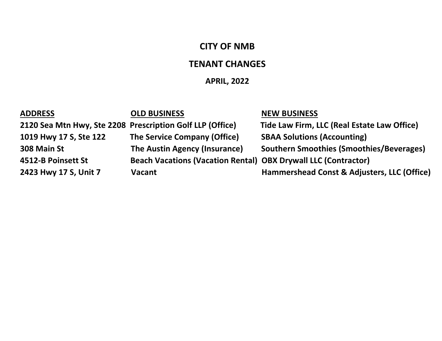# **CITY OF NMB**

## **TENANT CHANGES**

# **APRIL, 2022**

| <b>ADDRESS</b>                                            | <b>OLD BUSINESS</b>                                                   | <b>NEW BUSINESS</b>                             |
|-----------------------------------------------------------|-----------------------------------------------------------------------|-------------------------------------------------|
| 2120 Sea Mtn Hwy, Ste 2208 Prescription Golf LLP (Office) |                                                                       | Tide Law Firm, LLC (Real Estate Law Office)     |
| 1019 Hwy 17 S, Ste 122                                    | The Service Company (Office)                                          | <b>SBAA Solutions (Accounting)</b>              |
| 308 Main St                                               | The Austin Agency (Insurance)                                         | <b>Southern Smoothies (Smoothies/Beverages)</b> |
| 4512-B Poinsett St                                        | <b>Beach Vacations (Vacation Rental) OBX Drywall LLC (Contractor)</b> |                                                 |
| 2423 Hwy 17 S, Unit 7                                     | <b>Vacant</b>                                                         | Hammershead Const & Adjusters, LLC (Office)     |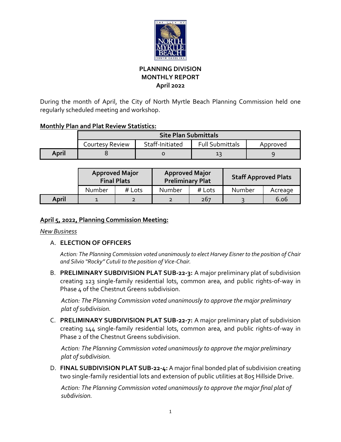

#### **PLANNING DIVISION MONTHLY REPORT April 2022**

During the month of April, the City of North Myrtle Beach Planning Commission held one regularly scheduled meeting and workshop.

#### **Monthly Plan and Plat Review Statistics:**

|                        | <b>Site Plan Submittals</b> |                 |                        |          |  |
|------------------------|-----------------------------|-----------------|------------------------|----------|--|
| <b>Courtesy Review</b> |                             | Staff-Initiated | <b>Full Submittals</b> | Approved |  |
| April                  |                             |                 | 13                     |          |  |

|       | <b>Approved Major</b><br><b>Final Plats</b> |        | <b>Approved Major</b><br><b>Preliminary Plat</b> |        | <b>Staff Approved Plats</b> |         |
|-------|---------------------------------------------|--------|--------------------------------------------------|--------|-----------------------------|---------|
|       | Number                                      | # Lots | <b>Number</b>                                    | # Lots | Number                      | Acreage |
| April |                                             |        |                                                  | 267    |                             | 6.06    |

#### **April 5, 2022, Planning Commission Meeting:**

*New Business*

#### A. **ELECTION OF OFFICERS**

*Action: The Planning Commission voted unanimously to elect Harvey Eisner to the position of Chair and Silvio "Rocky" Cutuli to the position of Vice‐Chair.*

B. **PRELIMINARY SUBDIVISION PLAT SUB-22-3:** A major preliminary plat of subdivision creating 123 single-family residential lots, common area, and public rights-of-way in Phase  $\mu$  of the Chestnut Greens subdivision.

*Action: The Planning Commission voted unanimously to approve the major preliminary plat of subdivision.*

C. **PRELIMINARY SUBDIVISION PLAT SUB-22-7:** A major preliminary plat of subdivision creating 144 single-family residential lots, common area, and public rights-of-way in Phase 2 of the Chestnut Greens subdivision.

*Action: The Planning Commission voted unanimously to approve the major preliminary plat of subdivision.*

D. **FINAL SUBDIVISION PLAT SUB-22-4:** A major final bonded plat of subdivision creating two single-family residential lots and extension of public utilities at 805 Hillside Drive.

*Action: The Planning Commission voted unanimously to approve the major final plat of subdivision.*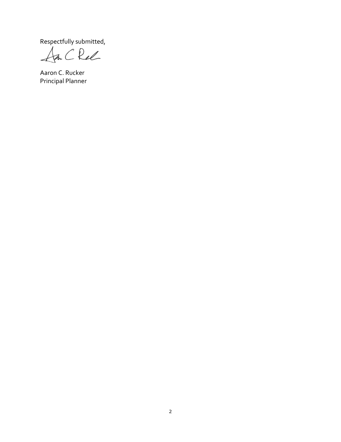Respectfully submitted,<br>An C Rel

Aaron C. Rucker Principal Planner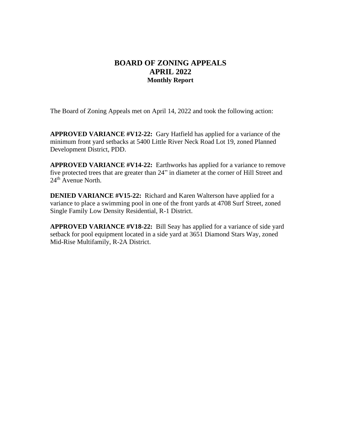#### **BOARD OF ZONING APPEALS APRIL 2022 Monthly Report**

The Board of Zoning Appeals met on April 14, 2022 and took the following action:

**APPROVED VARIANCE #V12-22:** Gary Hatfield has applied for a variance of the minimum front yard setbacks at 5400 Little River Neck Road Lot 19, zoned Planned Development District, PDD.

**APPROVED VARIANCE #V14-22:** Earthworks has applied for a variance to remove five protected trees that are greater than 24" in diameter at the corner of Hill Street and  $24<sup>th</sup>$  Avenue North.

**DENIED VARIANCE #V15-22:** Richard and Karen Walterson have applied for a variance to place a swimming pool in one of the front yards at 4708 Surf Street, zoned Single Family Low Density Residential, R-1 District.

**APPROVED VARIANCE #V18-22:** Bill Seay has applied for a variance of side yard setback for pool equipment located in a side yard at 3651 Diamond Stars Way, zoned Mid-Rise Multifamily, R-2A District.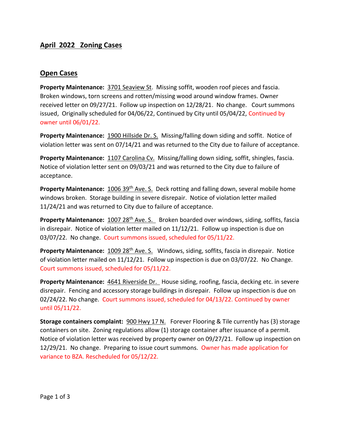#### **April 2022 Zoning Cases**

#### **Open Cases**

**Property Maintenance:** 3701 Seaview St. Missing soffit, wooden roof pieces and fascia. Broken windows, torn screens and rotten/missing wood around window frames. Owner received letter on 09/27/21. Follow up inspection on 12/28/21. No change. Court summons issued, Originally scheduled for 04/06/22, Continued by City until 05/04/22, Continued by owner until 06/01/22.

**Property Maintenance:** 1900 Hillside Dr. S. Missing/falling down siding and soffit. Notice of violation letter was sent on 07/14/21 and was returned to the City due to failure of acceptance.

**Property Maintenance:** 1107 Carolina Cv. Missing/falling down siding, soffit, shingles, fascia. Notice of violation letter sent on 09/03/21 and was returned to the City due to failure of acceptance.

**Property Maintenance:** 1006 39<sup>th</sup> Ave. S. Deck rotting and falling down, several mobile home windows broken. Storage building in severe disrepair. Notice of violation letter mailed 11/24/21 and was returned to City due to failure of acceptance.

Property Maintenance: 1007 28<sup>th</sup> Ave. S. Broken boarded over windows, siding, soffits, fascia in disrepair. Notice of violation letter mailed on 11/12/21. Follow up inspection is due on 03/07/22. No change. Court summons issued, scheduled for 05/11/22.

**Property Maintenance:** 1009 28<sup>th</sup> Ave. S. Windows, siding, soffits, fascia in disrepair. Notice of violation letter mailed on 11/12/21. Follow up inspection is due on 03/07/22. No Change. Court summons issued, scheduled for 05/11/22.

**Property Maintenance:** 4641 Riverside Dr. House siding, roofing, fascia, decking etc. in severe disrepair. Fencing and accessory storage buildings in disrepair. Follow up inspection is due on 02/24/22. No change. Court summons issued, scheduled for 04/13/22. Continued by owner until 05/11/22.

**Storage containers complaint:** 900 Hwy 17 N. Forever Flooring & Tile currently has (3) storage containers on site. Zoning regulations allow (1) storage container after issuance of a permit. Notice of violation letter was received by property owner on 09/27/21. Follow up inspection on 12/29/21. No change. Preparing to issue court summons. Owner has made application for variance to BZA. Rescheduled for 05/12/22.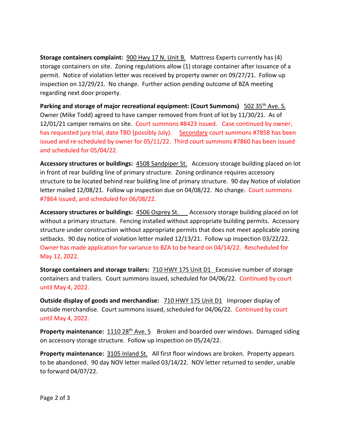**Storage containers complaint:** 900 Hwy 17 N. Unit B. Mattress Experts currently has (4) storage containers on site. Zoning regulations allow (1) storage container after issuance of a permit. Notice of violation letter was received by property owner on 09/27/21. Follow up inspection on 12/29/21. No change. Further action pending outcome of BZA meeting regarding next door property.

**Parking and storage of major recreational equipment: (Court Summons)** 502 35<sup>th</sup> Ave. S. Owner (Mike Todd) agreed to have camper removed from front of lot by 11/30/21. As of 12/01/21 camper remains on site. Court summons #8423 issued. Case continued by owner, has requested jury trial, date TBD (possibly July). Secondary court summons #7858 has been issued and re-scheduled by owner for 05/11/22. Third court summons #7860 has been issued and scheduled for 05/04/22.

**Accessory structures or buildings:** 4508 Sandpiper St. Accessory storage building placed on lot in front of rear building line of primary structure. Zoning ordinance requires accessory structure to be located behind rear building line of primary structure. 90 day Notice of violation letter mailed 12/08/21. Follow up inspection due on 04/08/22. No change. Court summons #7864 issued, and scheduled for 06/08/22.

**Accessory structures or buildings:** 4506 Osprey St. Accessory storage building placed on lot without a primary structure. Fencing installed without appropriate building permits. Accessory structure under construction without appropriate permits that does not meet applicable zoning setbacks. 90 day notice of violation letter mailed 12/13/21. Follow up inspection 03/22/22. Owner has made application for variance to BZA to be heard on 04/14/22. Rescheduled for May 12, 2022.

**Storage containers and storage trailers:** 710 HWY 17S Unit D1 Excessive number of storage containers and trailers. Court summons issued, scheduled for 04/06/22. Continued by court until May 4, 2022.

**Outside display of goods and merchandise:** 710 HWY 17S Unit D1 Improper display of outside merchandise. Court summons issued, scheduled for 04/06/22. Continued by court until May 4, 2022.

**Property maintenance:** 1110 28<sup>th</sup> Ave. S Broken and boarded over windows. Damaged siding on accessory storage structure. Follow up inspection on 05/24/22.

**Property maintenance:** 3105 Inland St. All first floor windows are broken. Property appears to be abandoned. 90 day NOV letter mailed 03/14/22. NOV letter returned to sender, unable to forward 04/07/22.